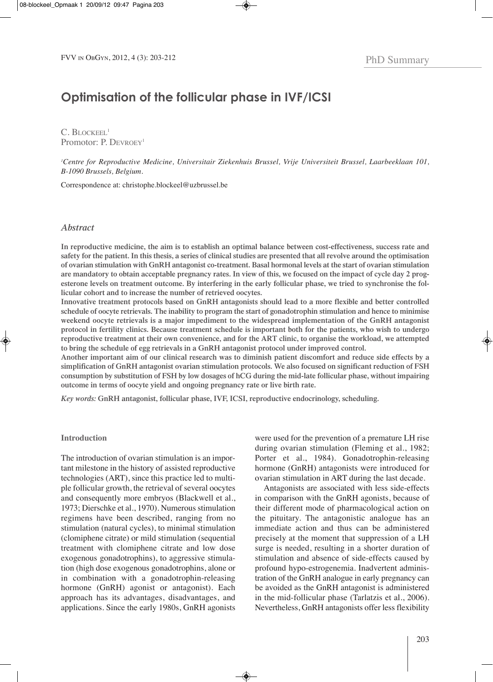# **Optimisation of the follicular phase in IVF/ICSI**

C. BLOCKEEL<sup>1</sup> Promotor: P. DEVROEY<sup>1</sup>

*1 Centre for Reproductive Medicine, Universitair Ziekenhuis Brussel, Vrije Universiteit Brussel, Laarbeeklaan 101, B-1090 Brussels, Belgium.*

Correspondence at: christophe.blockeel@uzbrussel.be

## *Abstract*

In reproductive medicine, the aim is to establish an optimal balance between cost-effectiveness, success rate and safety for the patient. In this thesis, a series of clinical studies are presented that all revolve around the optimisation of ovarian stimulation with GnRH antagonist co-treatment. Basal hormonal levels at the start of ovarian stimulation are mandatory to obtain acceptable pregnancy rates. In view of this, we focused on the impact of cycle day 2 progesterone levels on treatment outcome. By interfering in the early follicular phase, we tried to synchronise the fol**licular cohort and to increase the number of retrieved oocytes.**

**Innovative treatment protocols based on GnRH antagonists should lead to a more flexible and better controlled** schedule of oocyte retrievals. The inability to program the start of gonadotrophin stimulation and hence to minimise **weekend oocyte retrievals is a major impediment to the widespread implementation of the GnRH antagonist** protocol in fertility clinics. Because treatment schedule is important both for the patients, who wish to undergo reproductive treatment at their own convenience, and for the ART clinic, to organise the workload, we attempted **to bring the schedule of egg retrievals in a GnRH antagonist protocol under improved control.**

Another important aim of our clinical research was to diminish patient discomfort and reduce side effects by a **simplification of GnRH antagonist ovarian stimulation protocols. We also focused on significant reduction of FSH** consumption by substitution of FSH by low dosages of hCG during the mid-late follicular phase, without impairing **outcome in terms of oocyte yield and ongoing pregnancy rate or live birth rate.**

*Key words:* **GnRH antagonist, follicular phase, IVF, ICSI, reproductive endocrinology, scheduling.**

#### **Introduction**

The introduction of ovarian stimulation is an important milestone in the history of assisted reproductive technologies (ArT), since this practice led to multiple follicular growth, the retrieval of several oocytes and consequently more embryos (Blackwell et al., 1973; Dierschke et al., 1970). Numerous stimulation regimens have been described, ranging from no stimulation (natural cycles), to minimal stimulation (clomiphene citrate) or mild stimulation (sequential treatment with clomiphene citrate and low dose exogenous gonadotrophins), to aggressive stimulation (high dose exogenous gonadotrophins, alone or in combination with a gonadotrophin-releasing hormone (GnRH) agonist or antagonist). Each approach has its advantages, disadvantages, and applications. Since the early 1980s, GnRH agonists

were used for the prevention of a premature LH rise during ovarian stimulation (Fleming et al., 1982; Porter et al., 1984). Gonadotrophin-releasing hormone (GnRH) antagonists were introduced for ovarian stimulation in ART during the last decade.

Antagonists are associated with less side-effects in comparison with the GnRH agonists, because of their different mode of pharmacological action on the pituitary. The antagonistic analogue has an immediate action and thus can be administered precisely at the moment that suppression of a lH surge is needed, resulting in a shorter duration of stimulation and absence of side-effects caused by profound hypo-estrogenemia. Inadvertent administration of the GnRH analogue in early pregnancy can be avoided as the GnRH antagonist is administered in the mid-follicular phase (Tarlatzis et al., 2006). Nevertheless, GnRH antagonists offer less flexibility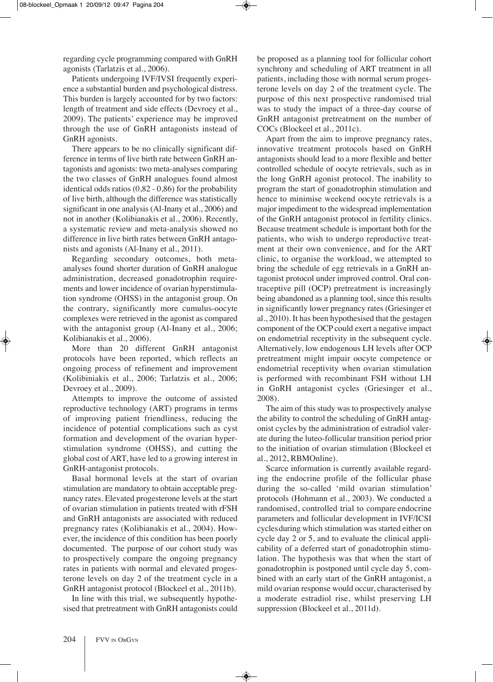regarding cycle programming compared with GnRH agonists (Tarlatzis et al., 2006).

Patients undergoing IVF/IVSI frequently experience a substantial burden and psychological distress. This burden is largely accounted for by two factors: length of treatment and side effects (Devroey et al., 2009). The patients' experience may be improved through the use of GnRH antagonists instead of GnRH agonists.

There appears to be no clinically significant difference in terms of live birth rate between GnRH antagonists and agonists: two meta-analyses comparing the two classes of GnRH analogues found almost identical odds ratios (0,82 - 0,86) for the probability of live birth, although the difference was statistically significant in one analysis (Al-Inany et al., 2006) and not in another (Kolibianakis et al., 2006). Recently, a systematic review and meta-analysis showed no difference in live birth rates between GnRH antagonists and agonists (Al-Inany et al., 2011).

Regarding secondary outcomes, both metaanalyses found shorter duration of GnRH analogue administration, decreased gonadotrophin requirements and lower incidence of ovarian hyperstimulation syndrome (OHSS) in the antagonist group. On the contrary, significantly more cumulus-oocyte complexes were retrieved in the agonist as compared with the antagonist group (Al-Inany et al., 2006; kolibianakis et al., 2006).

More than 20 different GnRH antagonist protocols have been reported, which reflects an ongoing process of refinement and improvement (kolibiniakis et al., 2006; Tarlatzis et al., 2006; Devroey et al., 2009).

Attempts to improve the outcome of assisted reproductive technology (ART) programs in terms of improving patient friendliness, reducing the incidence of potential complications such as cyst formation and development of the ovarian hyperstimulation syndrome (OHSS), and cutting the global cost of ArT, have led to a growing interest in GnRH-antagonist protocols.

basal hormonal levels at the start of ovarian stimulation are mandatory to obtain acceptable pregnancy rates. Elevated progesterone levels at the start of ovarian stimulation in patients treated with rFSH and GnRH antagonists are associated with reduced pregnancy rates (kolibianakis et al., 2004). However, the incidence of this condition has been poorly documented. The purpose of our cohort study was to prospectively compare the ongoing pregnancy rates in patients with normal and elevated progesterone levels on day 2 of the treatment cycle in a GnRH antagonist protocol (Blockeel et al., 2011b).

In line with this trial, we subsequently hypothesised that pretreatment with GnRH antagonists could be proposed as a planning tool for follicular cohort synchrony and scheduling of ART treatment in all patients, including those with normal serum progesterone levels on day 2 of the treatment cycle. The purpose of this next prospective randomised trial was to study the impact of a three-day course of GnRH antagonist pretreatment on the number of COCs (Blockeel et al., 2011c).

Apart from the aim to improve pregnancy rates, innovative treatment protocols based on GnRH antagonists should lead to a more flexible and better controlled schedule of oocyte retrievals, such as in the long GnRH agonist protocol. The inability to program the start of gonadotrophin stimulation and hence to minimise weekend oocyte retrievals is a major impediment to the widespread implementation of the GnRH antagonist protocol in fertility clinics. because treatment schedule is important both for the patients, who wish to undergo reproductive treatment at their own convenience, and for the ArT clinic, to organise the workload, we attempted to bring the schedule of egg retrievals in a GnRH antagonist protocol under improved control. Oral contraceptive pill (OCP) pretreatment is increasingly being abandoned as a planning tool, since this results in significantly lower pregnancy rates (Griesinger et al., 2010). it has been hypothesised that the gestagen component of the OCP could exert a negative impact on endometrial receptivity in the subsequent cycle. Alternatively, low endogenous lH levels after OCP pretreatment might impair oocyte competence or endometrial receptivity when ovarian stimulation is performed with recombinant FSH without LH in GnRH antagonist cycles (Griesinger et al., 2008).

The aim of this study was to prospectively analyse the ability to control the scheduling of GnRH antagonist cycles by the administration of estradiol valerate during the luteo-follicular transition period prior to the initiation of ovarian stimulation (Blockeel et al., 2012, RBMOnline).

Scarce information is currently available regarding the endocrine profile of the follicular phase during the so-called 'mild ovarian stimulation' protocols (Hohmann et al., 2003). We conducted a randomised, controlled trial to compare endocrine parameters and follicular development in IVF/ICSI cyclesduring which stimulation was started either on cycle day 2 or 5, and to evaluate the clinical applicability of a deferred start of gonadotrophin stimulation. The hypothesis was that when the start of gonadotrophin is postponed until cycle day 5, combined with an early start of the GnRH antagonist, a mild ovarian response would occur, characterised by a moderate estradiol rise, whilst preserving lH suppression (Blockeel et al., 2011d).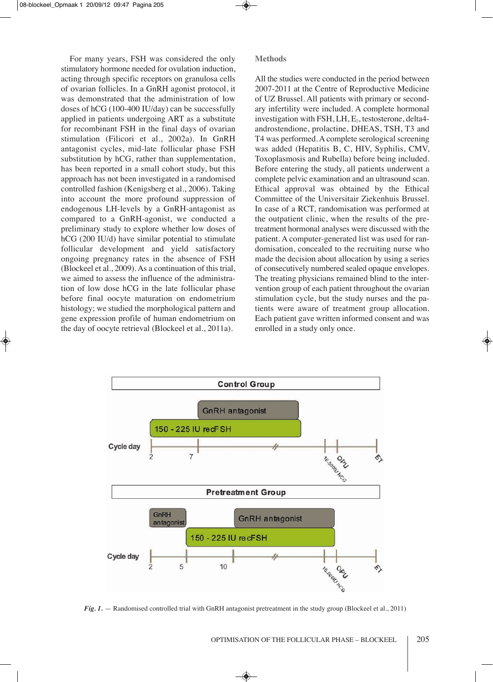For many years, FSH was considered the only stimulatory hormone needed for ovulation induction, acting through specific receptors on granulosa cells of ovarian follicles. In a GnRH agonist protocol, it was demonstrated that the administration of low doses of  $hCG (100-400 IU/day)$  can be successfully applied in patients undergoing ArT as a substitute for recombinant FSH in the final days of ovarian stimulation (Filicori et al., 2002a). In GnRH antagonist cycles, mid-late follicular phase FSH substitution by hCG, rather than supplementation, has been reported in a small cohort study, but this approach has not been investigated in a randomised controlled fashion (kenigsberg et al., 2006). Taking into account the more profound suppression of endogenous LH-levels by a GnRH-antagonist as compared to a GnRH-agonist, we conducted a preliminary study to explore whether low doses of hCG (200 IU/d) have similar potential to stimulate follicular development and yield satisfactory ongoing pregnancy rates in the absence of FSH (blockeel et al., 2009). As a continuation of this trial, we aimed to assess the influence of the administration of low dose hCG in the late follicular phase before final oocyte maturation on endometrium histology; we studied the morphological pattern and gene expression profile of human endometrium on the day of oocyte retrieval (Blockeel et al., 2011a).

**Methods**

All the studies were conducted in the period between 2007-2011 at the Centre of Reproductive Medicine of UZ brussel. All patients with primary or secondary infertility were included. A complete hormonal investigation with FSH, LH,  $E<sub>2</sub>$ , testosterone, delta4androstendione, prolactine, DHeAS, TSH, T3 and T4 was performed. A complete serological screening was added (Hepatitis B, C, HIV, Syphilis, CMV, Toxoplasmosis and Rubella) before being included. before entering the study, all patients underwent a complete pelvic examination and an ultrasound scan. Ethical approval was obtained by the Ethical Committee of the Universitair Ziekenhuis brussel. In case of a RCT, randomisation was performed at the outpatient clinic, when the results of the pretreatment hormonal analyses were discussed with the patient. A computer-generated list was used for randomisation, concealed to the recruiting nurse who made the decision about allocation by using a series of consecutively numbered sealed opaque envelopes. The treating physicians remained blind to the intervention group of each patient throughout the ovarian stimulation cycle, but the study nurses and the patients were aware of treatment group allocation. Each patient gave written informed consent and was enrolled in a study only once.



*Fig. 1.* — Randomised controlled trial with GnRH antagonist pretreatment in the study group (Blockeel et al., 2011)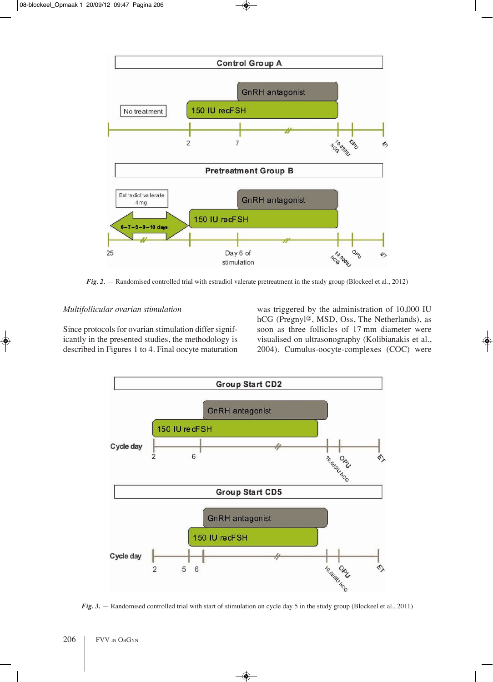

*Fig.* 2. — Randomised controlled trial with estradiol valerate pretreatment in the study group (Blockeel et al., 2012)

## *Multifollicular ovarian stimulation*

Since protocols for ovarian stimulation differ significantly in the presented studies, the methodology is described in Figures 1 to 4. Final oocyte maturation was triggered by the administration of 10,000 iU hCG (Pregnyl®, MSD, Oss, The Netherlands), as soon as three follicles of 17 mm diameter were visualised on ultrasonography (kolibianakis et al., 2004). Cumulus-oocyte-complexes (COC) were



*Fig.* 3. — Randomised controlled trial with start of stimulation on cycle day 5 in the study group (Blockeel et al., 2011)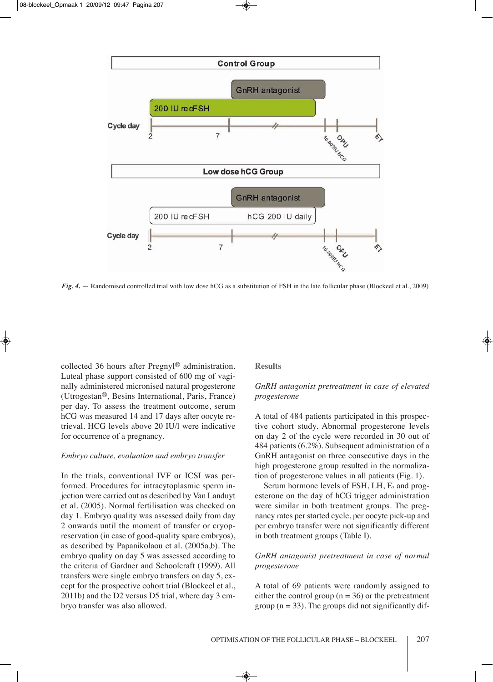

*Fig. 4.* — Randomised controlled trial with low dose hCG as a substitution of FSH in the late follicular phase (Blockeel et al., 2009)

collected 36 hours after Pregnyl® administration. Luteal phase support consisted of 600 mg of vaginally administered micronised natural progesterone (Utrogestan®, besins international, Paris, France) per day. To assess the treatment outcome, serum hCG was measured 14 and 17 days after oocyte retrieval. HCG levels above 20 iU/l were indicative for occurrence of a pregnancy.

## *Embryo culture, evaluation and embryo transfer*

In the trials, conventional IVF or ICSI was performed. Procedures for intracytoplasmic sperm injection were carried out as described by Van landuyt et al. (2005). Normal fertilisation was checked on day 1. Embryo quality was assessed daily from day 2 onwards until the moment of transfer or cryopreservation (in case of good-quality spare embryos), as described by Papanikolaou et al. (2005a,b). The embryo quality on day 5 was assessed according to the criteria of Gardner and Schoolcraft (1999). All transfers were single embryo transfers on day 5, except for the prospective cohort trial (Blockeel et al., 2011b) and the D2 versus D5 trial, where day 3 embryo transfer was also allowed.

## **Results**

# *GnRH antagonist pretreatment in case of elevated progesterone*

A total of 484 patients participated in this prospective cohort study. Abnormal progesterone levels on day 2 of the cycle were recorded in 30 out of 484 patients (6.2%). Subsequent administration of a GnRH antagonist on three consecutive days in the high progesterone group resulted in the normalization of progesterone values in all patients (Fig. 1).

Serum hormone levels of FSH,  $LH$ ,  $E_2$  and progesterone on the day of hCG trigger administration were similar in both treatment groups. The pregnancy rates per started cycle, per oocyte pick-up and per embryo transfer were not significantly different in both treatment groups (Table I).

## *GnRH antagonist pretreatment in case of normal progesterone*

A total of 69 patients were randomly assigned to either the control group ( $n = 36$ ) or the pretreatment group ( $n = 33$ ). The groups did not significantly dif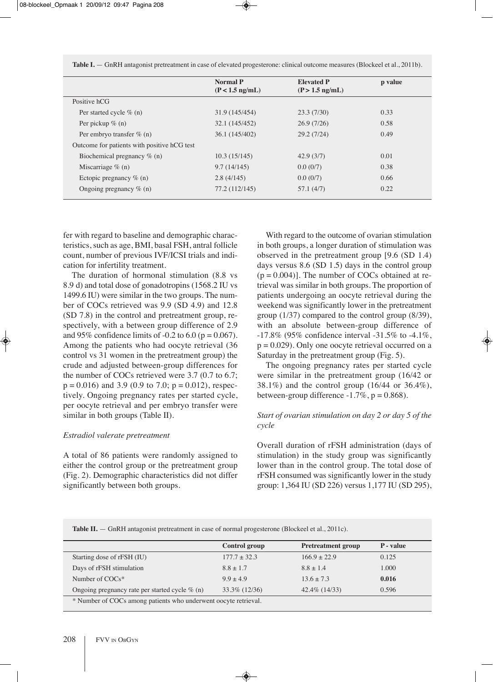Table **I.** — GnRH antagonist pretreatment in case of elevated progesterone: clinical outcome measures (Blockeel et al., 2011b).

|                                             | <b>Normal P</b><br>$(P < 1.5$ ng/mL) | <b>Elevated P</b><br>$(P > 1.5$ ng/mL) | p value |
|---------------------------------------------|--------------------------------------|----------------------------------------|---------|
| Positive hCG                                |                                      |                                        |         |
| Per started cycle $\%$ (n)                  | 31.9 (145/454)                       | 23.3(7/30)                             | 0.33    |
| Per pickup $\%$ (n)                         | 32.1 (145/452)                       | 26.9(7/26)                             | 0.58    |
| Per embryo transfer $\%$ (n)                | 36.1 (145/402)                       | 29.2(7/24)                             | 0.49    |
| Outcome for patients with positive hCG test |                                      |                                        |         |
| Biochemical pregnancy % (n)                 | 10.3(15/145)                         | 42.9(3/7)                              | 0.01    |
| Miscarriage $\%$ (n)                        | 9.7(14/145)                          | 0.0(0/7)                               | 0.38    |
| Ectopic pregnancy $\%$ (n)                  | 2.8(4/145)                           | 0.0(0/7)                               | 0.66    |
| Ongoing pregnancy $\%$ (n)                  | 77.2 (112/145)                       | 57.1(4/7)                              | 0.22    |
|                                             |                                      |                                        |         |

fer with regard to baseline and demographic characteristics, such as age, bMi, basal FSH, antral follicle count, number of previous IVF/ICSI trials and indication for infertility treatment.

The duration of hormonal stimulation (8.8 vs 8.9 d) and total dose of gonadotropins (1568.2 iU vs 1499.6 iU) were similar in the two groups. The number of COCs retrieved was 9.9 (SD 4.9) and 12.8 (SD 7.8) in the control and pretreatment group, respectively, with a between group difference of 2.9 and 95% confidence limits of  $-0.2$  to  $6.0$  (p = 0.067). Among the patients who had oocyte retrieval (36 control vs 31 women in the pretreatment group) the crude and adjusted between-group differences for the number of COCs retrieved were 3.7 (0.7 to 6.7;  $p = 0.016$ ) and 3.9 (0.9 to 7.0;  $p = 0.012$ ), respectively. Ongoing pregnancy rates per started cycle, per oocyte retrieval and per embryo transfer were similar in both groups (Table II).

## *Estradiol valerate pretreatment*

A total of 86 patients were randomly assigned to either the control group or the pretreatment group (Fig. 2). Demographic characteristics did not differ significantly between both groups.

With regard to the outcome of ovarian stimulation in both groups, a longer duration of stimulation was observed in the pretreatment group [9.6 (SD 1.4) days versus 8.6 (SD 1.5) days in the control group  $(p = 0.004)$ ]. The number of COCs obtained at retrieval was similar in both groups. The proportion of patients undergoing an oocyte retrieval during the weekend was significantly lower in the pretreatment group (1/37) compared to the control group (8/39), with an absolute between-group difference of -17.8% (95% confidence interval -31.5% to -4.1%,  $p = 0.029$ . Only one oocyte retrieval occurred on a Saturday in the pretreatment group (Fig. 5).

The ongoing pregnancy rates per started cycle were similar in the pretreatment group (16/42 or 38.1%) and the control group (16/44 or 36.4%), between-group difference  $-1.7\%$ ,  $p = 0.868$ ).

## *Start of ovarian stimulation on day 2 or day 5 of the cycle*

Overall duration of rFSH administration (days of stimulation) in the study group was significantly lower than in the control group. The total dose of rFSH consumed was significantly lower in the study group: 1,364 iU (SD 226) versus 1,177 iU (SD 295),

**Table II.** — GnRH antagonist pretreatment in case of normal progesterone (Blockeel et al., 2011c).

|                                                                 | <b>Control group</b> | <b>Pretreatment group</b> | P - value |  |
|-----------------------------------------------------------------|----------------------|---------------------------|-----------|--|
| Starting dose of rFSH (IU)                                      | $177.7 \pm 32.3$     | $166.9 + 22.9$            | 0.125     |  |
| Days of rFSH stimulation                                        | $8.8 \pm 1.7$        | $8.8 \pm 1.4$             | 1.000     |  |
| Number of $COCs^*$                                              | $9.9 + 4.9$          | $13.6 \pm 7.3$            | 0.016     |  |
| Ongoing pregnancy rate per started cycle $\%$ (n)               | 33.3\% (12/36)       | 42.4\% (14/33)            | 0.596     |  |
| * Number of COCs among patients who underwent oocyte retrieval. |                      |                           |           |  |
|                                                                 |                      |                           |           |  |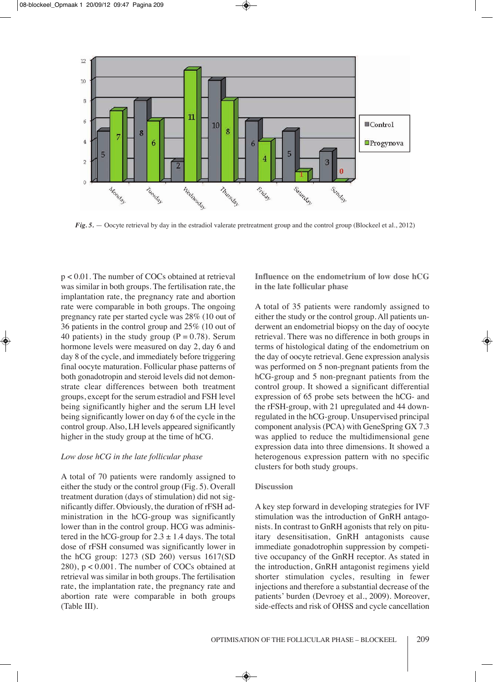

*Fig.* 5. — Oocyte retrieval by day in the estradiol valerate pretreatment group and the control group (Blockeel et al., 2012)

p < 0.01. The number of COCs obtained at retrieval was similar in both groups. The fertilisation rate, the implantation rate, the pregnancy rate and abortion rate were comparable in both groups. The ongoing pregnancy rate per started cycle was 28% (10 out of 36 patients in the control group and 25% (10 out of 40 patients) in the study group ( $P = 0.78$ ). Serum hormone levels were measured on day 2, day 6 and day 8 of the cycle, and immediately before triggering final oocyte maturation. Follicular phase patterns of both gonadotropin and steroid levels did not demonstrate clear differences between both treatment groups, except for the serum estradiol and FSH level being significantly higher and the serum LH level being significantly lower on day 6 of the cycle in the control group. Also, lH levels appeared significantly higher in the study group at the time of hCG.

## *Low dose hCG in the late follicular phase*

A total of 70 patients were randomly assigned to either the study or the control group (Fig. 5). Overall treatment duration (days of stimulation) did not significantly differ. Obviously, the duration of rFSH administration in the hCG-group was significantly lower than in the control group. HCG was administered in the hCG-group for  $2.3 \pm 1.4$  days. The total dose of rFSH consumed was significantly lower in the hCG group: 1273 (SD 260) versus 1617(SD 280), p < 0.001. The number of COCs obtained at retrieval was similar in both groups. The fertilisation rate, the implantation rate, the pregnancy rate and abortion rate were comparable in both groups (Table III).

**Influence on the endometrium of low dose hCG in the late follicular phase**

A total of 35 patients were randomly assigned to either the study or the control group. All patients underwent an endometrial biopsy on the day of oocyte retrieval. There was no difference in both groups in terms of histological dating of the endometrium on the day of oocyte retrieval. Gene expression analysis was performed on 5 non-pregnant patients from the hCG-group and 5 non-pregnant patients from the control group. It showed a significant differential expression of 65 probe sets between the hCG- and the rFSH-group, with 21 upregulated and 44 downregulated in the hCG-group. Unsupervised principal component analysis (PCA) with GeneSpring GX 7.3 was applied to reduce the multidimensional gene expression data into three dimensions. It showed a heterogenous expression pattern with no specific clusters for both study groups.

## **Discussion**

A key step forward in developing strategies for IVF stimulation was the introduction of GnRH antagonists. In contrast to GnRH agonists that rely on pituitary desensitisation, GnRH antagonists cause immediate gonadotrophin suppression by competitive occupancy of the GnRH receptor. As stated in the introduction, GnRH antagonist regimens yield shorter stimulation cycles, resulting in fewer injections and therefore a substantial decrease of the patients' burden (Devroey et al., 2009). Moreover, side-effects and risk of OHSS and cycle cancellation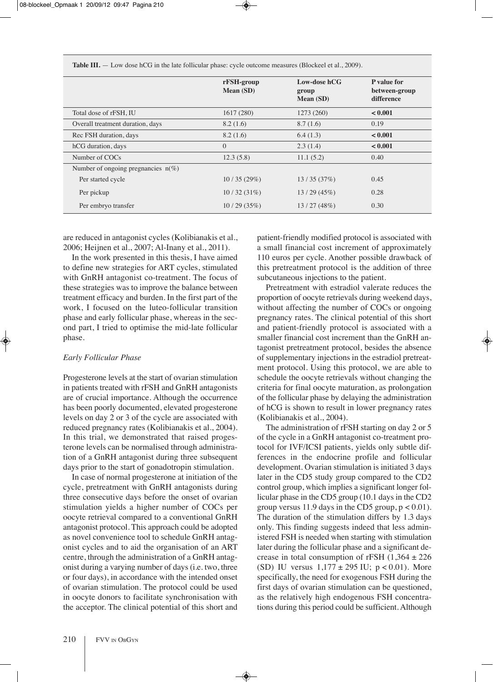|                                       | rFSH-group<br><b>Mean</b> (SD) | Low-dose hCG<br>group<br>Mean (SD) | P value for<br>between-group<br>difference |
|---------------------------------------|--------------------------------|------------------------------------|--------------------------------------------|
| Total dose of rFSH, IU                | 1617(280)                      | 1273 (260)                         | < 0.001                                    |
| Overall treatment duration, days      | 8.2(1.6)                       | 8.7(1.6)                           | 0.19                                       |
| Rec FSH duration, days                | 8.2(1.6)                       | 6.4(1.3)                           | < 0.001                                    |
| hCG duration, days                    | $\Omega$                       | 2.3(1.4)                           | < 0.001                                    |
| Number of COCs                        | 12.3(5.8)                      | 11.1(5.2)                          | 0.40                                       |
| Number of ongoing pregnancies $n(\%)$ |                                |                                    |                                            |
| Per started cycle                     | 10/35(29%)                     | 13/35(37%)                         | 0.45                                       |
| Per pickup                            | 10/32(31%)                     | 13/29(45%)                         | 0.28                                       |
| Per embryo transfer                   | 10/29(35%)                     | 13/27(48%)                         | 0.30                                       |

**Table III.** — Low dose hCG in the late follicular phase: cycle outcome measures (Blockeel et al., 2009).

are reduced in antagonist cycles (kolibianakis et al., 2006; Heijnen et al., 2007; Al-Inany et al., 2011).

In the work presented in this thesis, I have aimed to define new strategies for ART cycles, stimulated with GnRH antagonist co-treatment. The focus of these strategies was to improve the balance between treatment efficacy and burden. In the first part of the work, i focused on the luteo-follicular transition phase and early follicular phase, whereas in the second part, I tried to optimise the mid-late follicular phase.

#### *Early Follicular Phase*

Progesterone levels at the start of ovarian stimulation in patients treated with rFSH and GnRH antagonists are of crucial importance. Although the occurrence has been poorly documented, elevated progesterone levels on day 2 or 3 of the cycle are associated with reduced pregnancy rates (kolibianakis et al., 2004). In this trial, we demonstrated that raised progesterone levels can be normalised through administration of a GnRH antagonist during three subsequent days prior to the start of gonadotropin stimulation.

In case of normal progesterone at initiation of the cycle, pretreatment with GnRH antagonists during three consecutive days before the onset of ovarian stimulation yields a higher number of COCs per oocyte retrieval compared to a conventional GnRH antagonist protocol. This approach could be adopted as novel convenience tool to schedule GnRH antagonist cycles and to aid the organisation of an ArT centre, through the administration of a GnRH antagonist during a varying number of days (i.e. two, three or four days), in accordance with the intended onset of ovarian stimulation. The protocol could be used in oocyte donors to facilitate synchronisation with the acceptor. The clinical potential of this short and patient-friendly modified protocol is associated with a small financial cost increment of approximately 110 euros per cycle. Another possible drawback of this pretreatment protocol is the addition of three subcutaneous injections to the patient.

Pretreatment with estradiol valerate reduces the proportion of oocyte retrievals during weekend days, without affecting the number of COCs or ongoing pregnancy rates. The clinical potential of this short and patient-friendly protocol is associated with a smaller financial cost increment than the GnRH antagonist pretreatment protocol, besides the absence of supplementary injections in the estradiol pretreatment protocol. Using this protocol, we are able to schedule the oocyte retrievals without changing the criteria for final oocyte maturation, as prolongation of the follicular phase by delaying the administration of hCG is shown to result in lower pregnancy rates (kolibianakis et al., 2004).

The administration of rFSH starting on day 2 or 5 of the cycle in a GnRH antagonist co-treatment protocol for iVF/iCSi patients, yields only subtle differences in the endocrine profile and follicular development. Ovarian stimulation is initiated 3 days later in the CD5 study group compared to the CD2 control group, which implies a significant longer follicular phase in the CD5 group (10.1 days in the CD2 group versus 11.9 days in the CD5 group,  $p < 0.01$ ). The duration of the stimulation differs by 1.3 days only. This finding suggests indeed that less administered FSH is needed when starting with stimulation later during the follicular phase and a significant decrease in total consumption of rFSH  $(1,364 \pm 226)$ (SD) IU versus  $1,177 \pm 295$  IU;  $p < 0.01$ ). More specifically, the need for exogenous FSH during the first days of ovarian stimulation can be questioned, as the relatively high endogenous FSH concentrations during this period could be sufficient. Although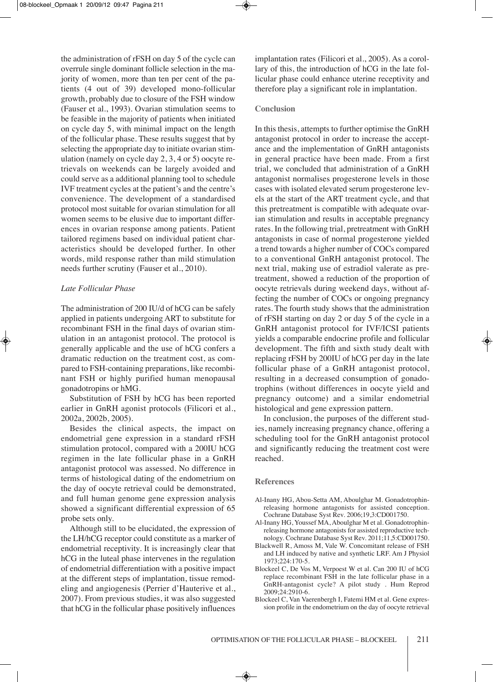the administration of rFSH on day 5 of the cycle can overrule single dominant follicle selection in the majority of women, more than ten per cent of the patients (4 out of 39) developed mono-follicular growth, probably due to closure of the FSH window (Fauser et al., 1993). Ovarian stimulation seems to be feasible in the majority of patients when initiated on cycle day 5, with minimal impact on the length of the follicular phase. These results suggest that by selecting the appropriate day to initiate ovarian stimulation (namely on cycle day 2, 3, 4 or 5) oocyte retrievals on weekends can be largely avoided and could serve as a additional planning tool to schedule iVF treatment cycles at the patient's and the centre's convenience. The development of a standardised protocol most suitable for ovarian stimulation for all women seems to be elusive due to important differences in ovarian response among patients. Patient tailored regimens based on individual patient characteristics should be developed further. in other words, mild response rather than mild stimulation needs further scrutiny (Fauser et al., 2010).

## *Late Follicular Phase*

The administration of 200 IU/d of hCG can be safely applied in patients undergoing ArT to substitute for recombinant FSH in the final days of ovarian stimulation in an antagonist protocol. The protocol is generally applicable and the use of hCG confers a dramatic reduction on the treatment cost, as compared to FSH-containing preparations, like recombinant FSH or highly purified human menopausal gonadotropins or hMG.

Substitution of FSH by hCG has been reported earlier in GnRH agonist protocols (Filicori et al., 2002a, 2002b, 2005).

besides the clinical aspects, the impact on endometrial gene expression in a standard rFSH stimulation protocol, compared with a 200IU hCG regimen in the late follicular phase in a GnRH antagonist protocol was assessed. No difference in terms of histological dating of the endometrium on the day of oocyte retrieval could be demonstrated, and full human genome gene expression analysis showed a significant differential expression of 65 probe sets only.

Although still to be elucidated, the expression of the lH/hCG receptor could constitute as a marker of endometrial receptivity. it is increasingly clear that hCG in the luteal phase intervenes in the regulation of endometrial differentiation with a positive impact at the different steps of implantation, tissue remodeling and angiogenesis (Perrier d'Hauterive et al., 2007). From previous studies, it was also suggested that hCG in the follicular phase positively influences

implantation rates (Filicori et al., 2005). As a corollary of this, the introduction of hCG in the late follicular phase could enhance uterine receptivity and therefore play a significant role in implantation.

#### **Conclusion**

In this thesis, attempts to further optimise the GnRH antagonist protocol in order to increase the acceptance and the implementation of GnRH antagonists in general practice have been made. From a first trial, we concluded that administration of a GnRH antagonist normalises progesterone levels in those cases with isolated elevated serum progesterone levels at the start of the ArT treatment cycle, and that this pretreatment is compatible with adequate ovarian stimulation and results in acceptable pregnancy rates. In the following trial, pretreatment with GnRH antagonists in case of normal progesterone yielded a trend towards a higher number of COCs compared to a conventional GnRH antagonist protocol. The next trial, making use of estradiol valerate as pretreatment, showed a reduction of the proportion of oocyte retrievals during weekend days, without affecting the number of COCs or ongoing pregnancy rates. The fourth study shows that the administration of rFSH starting on day 2 or day 5 of the cycle in a GnRH antagonist protocol for IVF/ICSI patients yields a comparable endocrine profile and follicular development. The fifth and sixth study dealt with replacing rFSH by 200IU of hCG per day in the late follicular phase of a GnRH antagonist protocol, resulting in a decreased consumption of gonadotrophins (without differences in oocyte yield and pregnancy outcome) and a similar endometrial histological and gene expression pattern.

In conclusion, the purposes of the different studies, namely increasing pregnancy chance, offering a scheduling tool for the GnRH antagonist protocol and significantly reducing the treatment cost were reached.

#### **References**

- Al-Inany HG, Abou-Setta AM, Aboulghar M. Gonadotrophinreleasing hormone antagonists for assisted conception. Cochrane Database Syst Rev. 2006;19,3:CD001750.
- Al-Inany HG, Youssef MA, Aboulghar M et al. Gonadotrophinreleasing hormone antagonists for assisted reproductive technology. Cochrane Database Syst Rev. 2011;11,5:CD001750.
- Blackwell R, Amoss M, Vale W. Concomitant release of FSH and LH induced by native and synthetic LRF. Am J Physiol 1973;224:170-5.
- blockeel C, De Vos M, Verpoest W et al. Can 200 iU of hCG replace recombinant FSH in the late follicular phase in a GnRH-antagonist cycle? A pilot study. Hum Reprod 2009;24:2910-6.
- Blockeel C, Van Vaerenbergh I, Fatemi HM et al. Gene expression profile in the endometrium on the day of oocyte retrieval